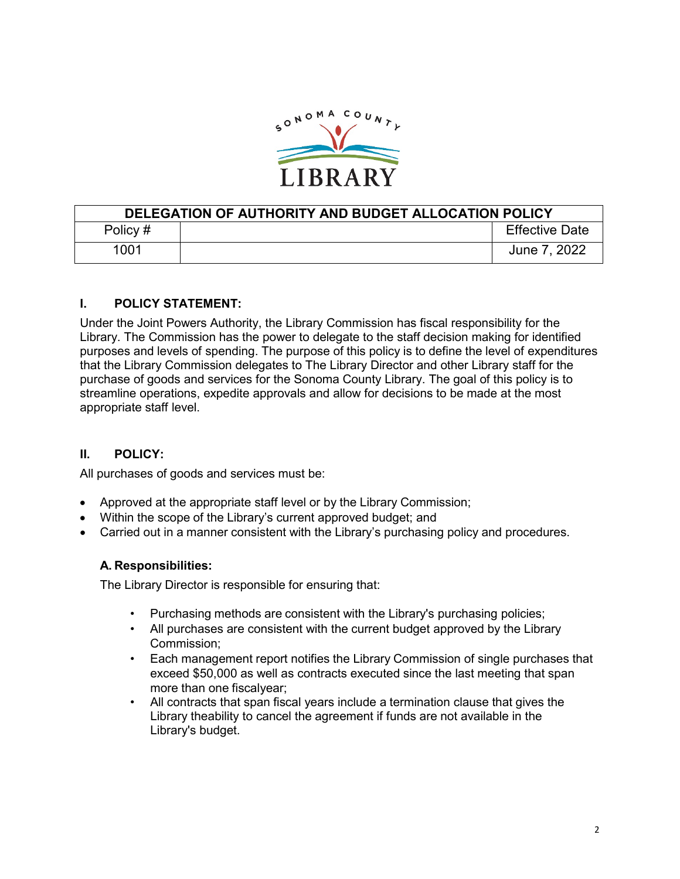

| DELEGATION OF AUTHORITY AND BUDGET ALLOCATION POLICY |  |                       |  |  |
|------------------------------------------------------|--|-----------------------|--|--|
| Policy #                                             |  | <b>Effective Date</b> |  |  |
| 1001                                                 |  | June 7, 2022          |  |  |

# **I. POLICY STATEMENT:**

Under the Joint Powers Authority, the Library Commission has fiscal responsibility for the Library. The Commission has the power to delegate to the staff decision making for identified purposes and levels of spending. The purpose of this policy is to define the level of expenditures that the Library Commission delegates to The Library Director and other Library staff for the purchase of goods and services for the Sonoma County Library. The goal of this policy is to streamline operations, expedite approvals and allow for decisions to be made at the most appropriate staff level.

# **II. POLICY:**

All purchases of goods and services must be:

- Approved at the appropriate staff level or by the Library Commission;
- Within the scope of the Library's current approved budget; and
- Carried out in a manner consistent with the Library's purchasing policy and procedures.

#### **A. Responsibilities:**

The Library Director is responsible for ensuring that:

- Purchasing methods are consistent with the Library's purchasing policies;
- All purchases are consistent with the current budget approved by the Library Commission;
- Each management report notifies the Library Commission of single purchases that exceed \$50,000 as well as contracts executed since the last meeting that span more than one fiscalyear;
- All contracts that span fiscal years include a termination clause that gives the Library theability to cancel the agreement if funds are not available in the Library's budget.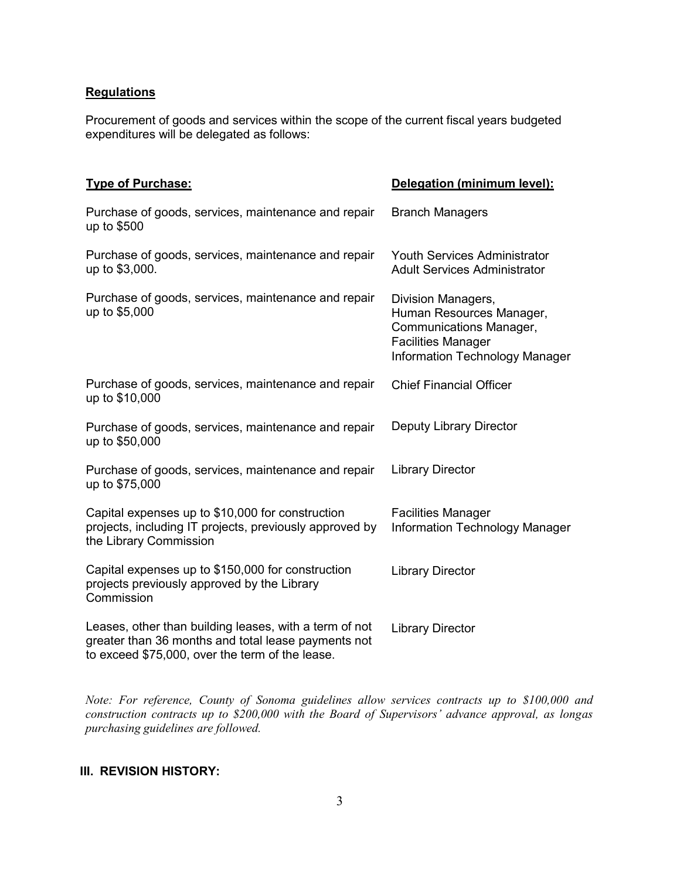### **Regulations**

Procurement of goods and services within the scope of the current fiscal years budgeted expenditures will be delegated as follows:

| <b>Type of Purchase:</b>                                                                                                                                         | Delegation (minimum level):                                                                                                                     |  |
|------------------------------------------------------------------------------------------------------------------------------------------------------------------|-------------------------------------------------------------------------------------------------------------------------------------------------|--|
| Purchase of goods, services, maintenance and repair<br>up to \$500                                                                                               | <b>Branch Managers</b>                                                                                                                          |  |
| Purchase of goods, services, maintenance and repair<br>up to \$3,000.                                                                                            | <b>Youth Services Administrator</b><br><b>Adult Services Administrator</b>                                                                      |  |
| Purchase of goods, services, maintenance and repair<br>up to \$5,000                                                                                             | Division Managers,<br>Human Resources Manager,<br>Communications Manager,<br><b>Facilities Manager</b><br><b>Information Technology Manager</b> |  |
| Purchase of goods, services, maintenance and repair<br>up to \$10,000                                                                                            | <b>Chief Financial Officer</b>                                                                                                                  |  |
| Purchase of goods, services, maintenance and repair<br>up to \$50,000                                                                                            | <b>Deputy Library Director</b>                                                                                                                  |  |
| Purchase of goods, services, maintenance and repair<br>up to \$75,000                                                                                            | <b>Library Director</b>                                                                                                                         |  |
| Capital expenses up to \$10,000 for construction<br>projects, including IT projects, previously approved by<br>the Library Commission                            | <b>Facilities Manager</b><br>Information Technology Manager                                                                                     |  |
| Capital expenses up to \$150,000 for construction<br>projects previously approved by the Library<br>Commission                                                   | <b>Library Director</b>                                                                                                                         |  |
| Leases, other than building leases, with a term of not<br>greater than 36 months and total lease payments not<br>to exceed \$75,000, over the term of the lease. | <b>Library Director</b>                                                                                                                         |  |

*Note: For reference, County of Sonoma guidelines allow services contracts up to \$100,000 and construction contracts up to \$200,000 with the Board of Supervisors' advance approval, as longas purchasing guidelines are followed.* 

### **III. REVISION HISTORY:**